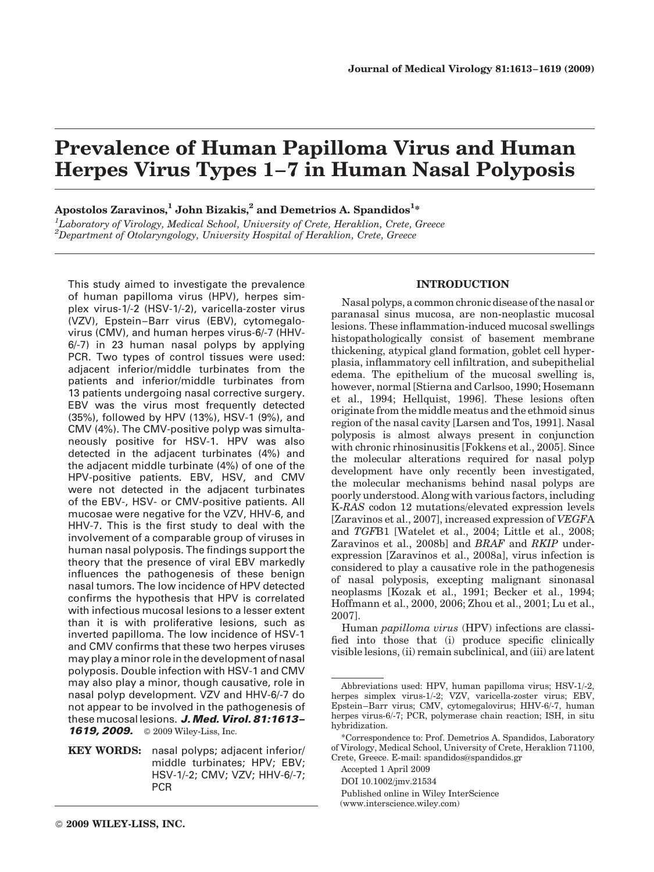# Prevalence of Human Papilloma Virus and Human Herpes Virus Types 1–7 in Human Nasal Polyposis

# Apostolos Zaravinos, $^1$  John Bizakis, $^2$  and Demetrios A. Spandidos $^{1\ast}$

<sup>1</sup>Laboratory of Virology, Medical School, University of Crete, Heraklion, Crete, Greece  $^{2}$ Department of Otolaryngology, University Hospital of Heraklion, Crete, Greece

This study aimed to investigate the prevalence of human papilloma virus (HPV), herpes simplex virus-1/-2 (HSV-1/-2), varicella-zoster virus (VZV), Epstein–Barr virus (EBV), cytomegalovirus (CMV), and human herpes virus-6/-7 (HHV-6/-7) in 23 human nasal polyps by applying PCR. Two types of control tissues were used: adjacent inferior/middle turbinates from the patients and inferior/middle turbinates from 13 patients undergoing nasal corrective surgery. EBV was the virus most frequently detected (35%), followed by HPV (13%), HSV-1 (9%), and CMV (4%). The CMV-positive polyp was simultaneously positive for HSV-1. HPV was also detected in the adjacent turbinates (4%) and the adjacent middle turbinate (4%) of one of the HPV-positive patients. EBV, HSV, and CMV were not detected in the adjacent turbinates of the EBV-, HSV- or CMV-positive patients. All mucosae were negative for the VZV, HHV-6, and HHV-7. This is the first study to deal with the involvement of a comparable group of viruses in human nasal polyposis. The findings support the theory that the presence of viral EBV markedly influences the pathogenesis of these benign nasal tumors. The low incidence of HPV detected confirms the hypothesis that HPV is correlated with infectious mucosal lesions to a lesser extent than it is with proliferative lesions, such as inverted papilloma. The low incidence of HSV-1 and CMV confirms that these two herpes viruses may play a minor role in the development of nasal polyposis. Double infection with HSV-1 and CMV may also play a minor, though causative, role in nasal polyp development. VZV and HHV-6/-7 do not appear to be involved in the pathogenesis of these mucosal lesions. J. Med. Virol. 81:1613-1619, 2009. © 2009 Wiley-Liss, Inc.

KEY WORDS: nasal polyps; adjacent inferior/ middle turbinates; HPV; EBV; HSV-1/-2; CMV; VZV; HHV-6/-7; PCR

## INTRODUCTION

Nasal polyps, a common chronic disease of the nasal or paranasal sinus mucosa, are non-neoplastic mucosal lesions. These inflammation-induced mucosal swellings histopathologically consist of basement membrane thickening, atypical gland formation, goblet cell hyperplasia, inflammatory cell infiltration, and subepithelial edema. The epithelium of the mucosal swelling is, however, normal [Stierna and Carlsoo, 1990; Hosemann et al., 1994; Hellquist, 1996]. These lesions often originate from the middle meatus and the ethmoid sinus region of the nasal cavity [Larsen and Tos, 1991]. Nasal polyposis is almost always present in conjunction with chronic rhinosinusitis [Fokkens et al., 2005]. Since the molecular alterations required for nasal polyp development have only recently been investigated, the molecular mechanisms behind nasal polyps are poorly understood. Along with various factors, including K-RAS codon 12 mutations/elevated expression levels [Zaravinos et al., 2007], increased expression of VEGFA and TGFB1 [Watelet et al., 2004; Little et al., 2008; Zaravinos et al., 2008b] and BRAF and RKIP underexpression [Zaravinos et al., 2008a], virus infection is considered to play a causative role in the pathogenesis of nasal polyposis, excepting malignant sinonasal neoplasms [Kozak et al., 1991; Becker et al., 1994; Hoffmann et al., 2000, 2006; Zhou et al., 2001; Lu et al., 2007].

Human papilloma virus (HPV) infections are classified into those that (i) produce specific clinically visible lesions, (ii) remain subclinical, and (iii) are latent

Abbreviations used: HPV, human papilloma virus; HSV-1/-2, herpes simplex virus-1/-2; VZV, varicella-zoster virus; EBV, Epstein–Barr virus; CMV, cytomegalovirus; HHV-6/-7, human herpes virus-6/-7; PCR, polymerase chain reaction; ISH, in situ hybridization.

<sup>\*</sup>Correspondence to: Prof. Demetrios A. Spandidos, Laboratory of Virology, Medical School, University of Crete, Heraklion 71100, Crete, Greece. E-mail: spandidos@spandidos.gr

Accepted 1 April 2009

DOI 10.1002/jmv.21534

Published online in Wiley InterScience

<sup>(</sup>www.interscience.wiley.com)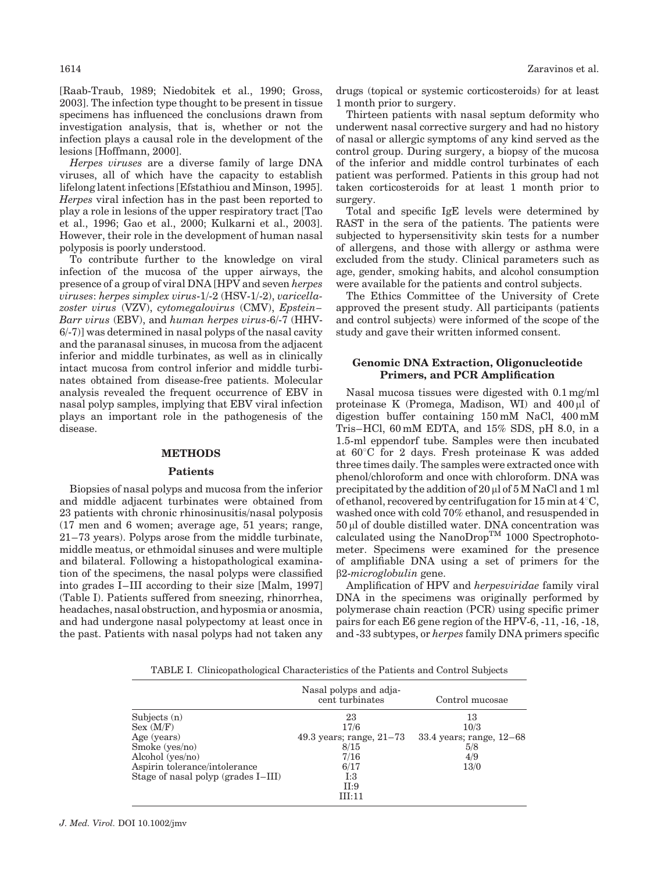[Raab-Traub, 1989; Niedobitek et al., 1990; Gross, 2003]. The infection type thought to be present in tissue specimens has influenced the conclusions drawn from investigation analysis, that is, whether or not the infection plays a causal role in the development of the lesions [Hoffmann, 2000].

Herpes viruses are a diverse family of large DNA viruses, all of which have the capacity to establish lifelong latent infections [Efstathiou and Minson, 1995]. Herpes viral infection has in the past been reported to play a role in lesions of the upper respiratory tract [Tao et al., 1996; Gao et al., 2000; Kulkarni et al., 2003]. However, their role in the development of human nasal polyposis is poorly understood.

To contribute further to the knowledge on viral infection of the mucosa of the upper airways, the presence of a group of viral DNA [HPV and seven herpes viruses: herpes simplex virus-1/-2 (HSV-1/-2), varicellazoster virus (VZV), cytomegalovirus (CMV), Epstein– Barr virus (EBV), and human herpes virus-6/-7 (HHV-6/-7)] was determined in nasal polyps of the nasal cavity and the paranasal sinuses, in mucosa from the adjacent inferior and middle turbinates, as well as in clinically intact mucosa from control inferior and middle turbinates obtained from disease-free patients. Molecular analysis revealed the frequent occurrence of EBV in nasal polyp samples, implying that EBV viral infection plays an important role in the pathogenesis of the disease.

# **METHODS**

#### Patients

Biopsies of nasal polyps and mucosa from the inferior and middle adjacent turbinates were obtained from 23 patients with chronic rhinosinusitis/nasal polyposis (17 men and 6 women; average age, 51 years; range, 21–73 years). Polyps arose from the middle turbinate, middle meatus, or ethmoidal sinuses and were multiple and bilateral. Following a histopathological examination of the specimens, the nasal polyps were classified into grades I–III according to their size [Malm, 1997] (Table I). Patients suffered from sneezing, rhinorrhea, headaches, nasal obstruction, and hyposmia or anosmia, and had undergone nasal polypectomy at least once in the past. Patients with nasal polyps had not taken any

drugs (topical or systemic corticosteroids) for at least 1 month prior to surgery.

Thirteen patients with nasal septum deformity who underwent nasal corrective surgery and had no history of nasal or allergic symptoms of any kind served as the control group. During surgery, a biopsy of the mucosa of the inferior and middle control turbinates of each patient was performed. Patients in this group had not taken corticosteroids for at least 1 month prior to surgery.

Total and specific IgE levels were determined by RAST in the sera of the patients. The patients were subjected to hypersensitivity skin tests for a number of allergens, and those with allergy or asthma were excluded from the study. Clinical parameters such as age, gender, smoking habits, and alcohol consumption were available for the patients and control subjects.

The Ethics Committee of the University of Crete approved the present study. All participants (patients and control subjects) were informed of the scope of the study and gave their written informed consent.

#### Genomic DNA Extraction, Oligonucleotide Primers, and PCR Amplification

Nasal mucosa tissues were digested with 0.1 mg/ml proteinase K (Promega, Madison, WI) and  $400 \mu l$  of digestion buffer containing 150 mM NaCl, 400 mM Tris–HCl, 60 mM EDTA, and 15% SDS, pH 8.0, in a 1.5-ml eppendorf tube. Samples were then incubated at  $60^{\circ}$ C for 2 days. Fresh proteinase K was added three times daily. The samples were extracted once with phenol/chloroform and once with chloroform. DNA was precipitated by the addition of  $20 \mu$ l of  $5 M$  NaCl and  $1 m$ l of ethanol, recovered by centrifugation for 15 min at  $4^{\circ}$ C, washed once with cold 70% ethanol, and resuspended in  $50 \,\mu$ l of double distilled water. DNA concentration was calculated using the NanoDrop<sup>TM</sup> 1000 Spectrophotometer. Specimens were examined for the presence of amplifiable DNA using a set of primers for the  $\beta$ 2-microglobulin gene.

Amplification of HPV and herpesviridae family viral DNA in the specimens was originally performed by polymerase chain reaction (PCR) using specific primer pairs for each E6 gene region of the HPV-6, -11, -16, -18, and -33 subtypes, or herpes family DNA primers specific

TABLE I. Clinicopathological Characteristics of the Patients and Control Subjects

|                                                                      | Nasal polyps and adja-<br>cent turbinates | Control mucosae                 |
|----------------------------------------------------------------------|-------------------------------------------|---------------------------------|
| Subjects $(n)$<br>Sex (M/F)                                          | 23<br>17/6                                | 13<br>10/3                      |
| Age (years)<br>Smoke $(yes/no)$                                      | 49.3 years; range, $21-73$<br>8/15        | 33.4 years; range, 12-68<br>5/8 |
| Alcohol (yes/no)                                                     | 7/16                                      | 4/9                             |
| Aspirin tolerance/intolerance<br>Stage of nasal polyp (grades I-III) | 6/17<br>I:3                               | 13/0                            |
|                                                                      | II:9<br>III:11                            |                                 |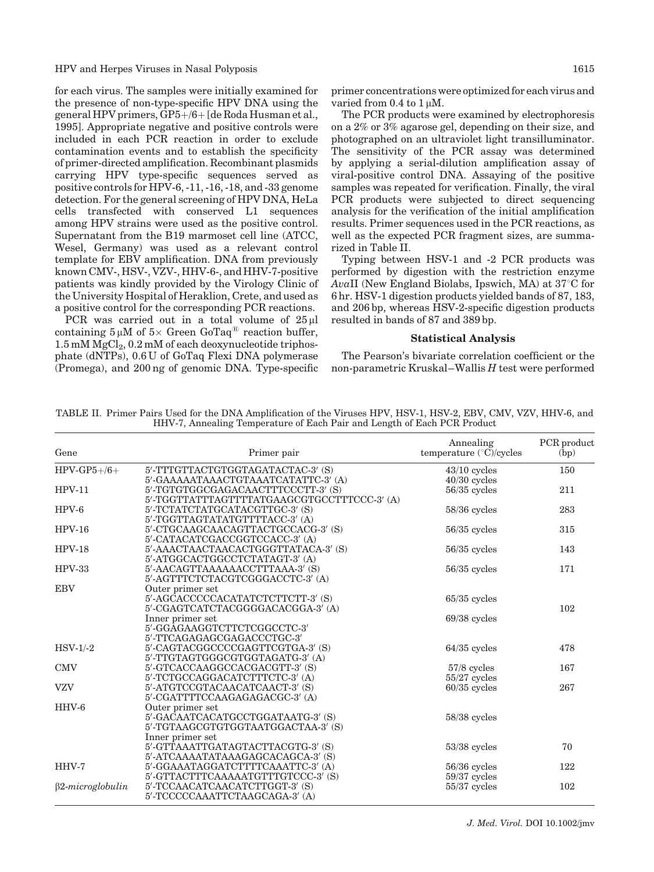HPV and Herpes Viruses in Nasal Polyposis 1615

for each virus. The samples were initially examined for the presence of non-type-specific HPV DNA using the general HPV primers,  $\overline{GP5+/6}$  [de Roda Husman et al., 1995]. Appropriate negative and positive controls were included in each PCR reaction in order to exclude contamination events and to establish the specificity of primer-directed amplification. Recombinant plasmids carrying HPV type-specific sequences served as positive controls for HPV-6, -11, -16, -18, and -33 genome detection. For the general screening of HPV DNA, HeLa cells transfected with conserved L1 sequences among HPV strains were used as the positive control. Supernatant from the B19 marmoset cell line (ATCC, Wesel, Germany) was used as a relevant control template for EBV amplification. DNA from previously known CMV-, HSV-, VZV-, HHV-6-, and HHV-7-positive patients was kindly provided by the Virology Clinic of the University Hospital of Heraklion, Crete, and used as a positive control for the corresponding PCR reactions.

PCR was carried out in a total volume of  $25 \mu$ l containing  $5 \mu M$  of  $5 \times$  Green GoTaq<sup>®</sup> reaction buffer,  $1.5 \text{ mM MgCl}_2$ ,  $0.2 \text{ mM of each deoxynucleotide triphos-}$ phate (dNTPs), 0.6 U of GoTaq Flexi DNA polymerase (Promega), and 200 ng of genomic DNA. Type-specific primer concentrations were optimized for each virus and varied from  $0.4$  to  $1 \mu$ M.

The PCR products were examined by electrophoresis on a 2% or 3% agarose gel, depending on their size, and photographed on an ultraviolet light transilluminator. The sensitivity of the PCR assay was determined by applying a serial-dilution amplification assay of viral-positive control DNA. Assaying of the positive samples was repeated for verification. Finally, the viral PCR products were subjected to direct sequencing analysis for the verification of the initial amplification results. Primer sequences used in the PCR reactions, as well as the expected PCR fragment sizes, are summarized in Table II.

Typing between HSV-1 and -2 PCR products was performed by digestion with the restriction enzyme AvaII (New England Biolabs, Ipswich, MA) at  $37^{\circ}$ C for 6 hr. HSV-1 digestion products yielded bands of 87, 183, and 206 bp, whereas HSV-2-specific digestion products resulted in bands of 87 and 389 bp.

## Statistical Analysis

The Pearson's bivariate correlation coefficient or the non-parametric Kruskal–Wallis  $H$  test were performed

| TABLE II. Primer Pairs Used for the DNA Amplification of the Viruses HPV, HSV-1, HSV-2, EBV, CMV, VZV, HHV-6, and |
|-------------------------------------------------------------------------------------------------------------------|
| HHV-7, Annealing Temperature of Each Pair and Length of Each PCR Product                                          |
|                                                                                                                   |

| Gene                    | Primer pair                                                      | Annealing<br>temperature (°C)/cycles | PCR product<br>(bp) |
|-------------------------|------------------------------------------------------------------|--------------------------------------|---------------------|
| $HPV-GP5+/6+$           | 5'-TTTGTTACTGTGGTAGATACTAC-3' (S)                                | $43/10$ cycles                       | 150                 |
|                         | 5'-GAAAAATAAACTGTAAATCATATTC-3' (A)                              | $40/30$ cycles                       |                     |
| $HPV-11$                | 5'-TGTGTGGCGAGACAACTTTCCCTT-3' (S)                               | $56/35$ cycles                       | 211                 |
|                         | 5'-TGGTTATTTAGTTTTATGAAGCGTGCCTTTCCC-3' (A)                      |                                      |                     |
| $HPV-6$                 | 5'-TCTATCTATGCATACGTTGC-3' (S)                                   | $58/36$ cycles                       | 283                 |
|                         | 5'-TGGTTAGTATATGTTTTACC-3' (A)                                   |                                      |                     |
| $HPV-16$                | 5'-CTGCAAGCAACAGTTACTGCCACG-3' (S)                               | $56/35$ cycles                       | 315                 |
|                         | 5'-CATACATCGACCGGTCCACC-3' (A)                                   |                                      |                     |
| $HPV-18$                | 5'-AAACTAACTAACACTGGGTTATACA-3' (S)                              | $56/35$ cycles                       | 143                 |
|                         | 5'-ATGGCACTGGCCTCTATAGT-3' (A)                                   |                                      |                     |
| $HPV-33$                | 5'-AACAGTTAAAAAACCTTTAAA-3' (S)                                  | $56/35$ cycles                       | 171                 |
|                         | 5'-AGTTTCTCTACGTCGGGACCTC-3' (A)                                 |                                      |                     |
| <b>EBV</b>              | Outer primer set                                                 |                                      |                     |
|                         | 5'-AGCACCCCCACATATCTCTTCTT-3' (S)                                | $65/35$ cycles                       |                     |
|                         | 5'-CGAGTCATCTACGGGGACACGGA-3' (A)                                |                                      | 102                 |
|                         | Inner primer set                                                 | $69/38$ cycles                       |                     |
|                         | 5'-GGAGAAGGTCTTCTCGGCCTC-3'                                      |                                      |                     |
|                         | 5'-TTCAGAGAGCGAGACCCTGC-3'                                       |                                      |                     |
| $HSV-1/-2$              | 5'-CAGTACGGCCCCGAGTTCGTGA-3' (S)                                 | $64/35$ cycles                       | 478                 |
|                         | 5'-TTGTAGTGGGCGTGGTAGATG-3' (A)                                  |                                      |                     |
| <b>CMV</b>              | 5'-GTCACCAAGGCCACGACGTT-3' (S)                                   | $57/8$ cycles                        | 167                 |
|                         | 5'-TCTGCCAGGACATCTTTCTC-3' (A)                                   | $55/27$ cycles                       |                     |
| <b>VZV</b>              | 5'-ATGTCCGTACAACATCAACT-3' (S)                                   | $60/35$ cycles                       | 267                 |
|                         | 5'-CGATTTTCCAAGAGAGACGC-3' (A)                                   |                                      |                     |
| HHV-6                   | Outer primer set                                                 |                                      |                     |
|                         | 5'-GACAATCACATGCCTGGATAATG-3' (S)                                | $58/38$ cycles                       |                     |
|                         | 5'-TGTAAGCGTGTGGTAATGGACTAA-3' (S)                               |                                      |                     |
|                         | Inner primer set                                                 |                                      |                     |
|                         | 5'-GTTAAATTGATAGTACTTACGTG-3' (S)                                | $53/38$ cycles                       | 70                  |
|                         | 5'-ATCAAAATATAAAGAGCACAGCA-3' (S)                                |                                      |                     |
| HHV-7                   | 5'-GGAAATAGGATCTTTTCAAATTC-3' (A)                                | $56/36$ cycles                       | 122                 |
|                         | 5'-GTTACTTTCAAAAATGTTTGTCCC-3' (S)                               | $59/37$ cycles                       |                     |
| $\beta$ 2-microglobulin | 5'-TCCAACATCAACATCTTGGT-3' (S)<br>5'-TCCCCCAAATTCTAAGCAGA-3' (A) | $55/37$ cycles                       | 102                 |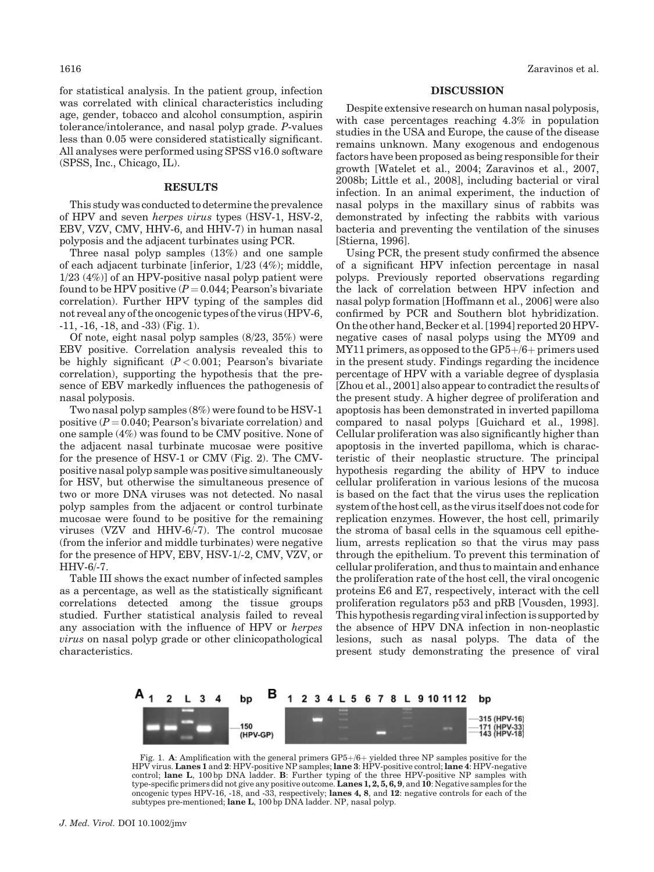for statistical analysis. In the patient group, infection was correlated with clinical characteristics including age, gender, tobacco and alcohol consumption, aspirin tolerance/intolerance, and nasal polyp grade. P-values less than 0.05 were considered statistically significant. All analyses were performed using SPSS v16.0 software (SPSS, Inc., Chicago, IL).

#### **RESULTS**

This study was conducted to determine the prevalence of HPV and seven herpes virus types (HSV-1, HSV-2, EBV, VZV, CMV, HHV-6, and HHV-7) in human nasal polyposis and the adjacent turbinates using PCR.

Three nasal polyp samples (13%) and one sample of each adjacent turbinate [inferior, 1/23 (4%); middle, 1/23 (4%)] of an HPV-positive nasal polyp patient were found to be HPV positive  $(P = 0.044;$  Pearson's bivariate correlation). Further HPV typing of the samples did not reveal any of the oncogenic types of the virus (HPV-6, -11, -16, -18, and -33) (Fig. 1).

Of note, eight nasal polyp samples (8/23, 35%) were EBV positive. Correlation analysis revealed this to be highly significant  $(P < 0.001$ ; Pearson's bivariate correlation), supporting the hypothesis that the presence of EBV markedly influences the pathogenesis of nasal polyposis.

Two nasal polyp samples (8%) were found to be HSV-1 positive  $(P = 0.040$ ; Pearson's bivariate correlation) and one sample (4%) was found to be CMV positive. None of the adjacent nasal turbinate mucosae were positive for the presence of HSV-1 or CMV (Fig. 2). The CMVpositive nasal polyp sample was positive simultaneously for HSV, but otherwise the simultaneous presence of two or more DNA viruses was not detected. No nasal polyp samples from the adjacent or control turbinate mucosae were found to be positive for the remaining viruses (VZV and HHV-6/-7). The control mucosae (from the inferior and middle turbinates) were negative for the presence of HPV, EBV, HSV-1/-2, CMV, VZV, or HHV-6/-7.

Table III shows the exact number of infected samples as a percentage, as well as the statistically significant correlations detected among the tissue groups studied. Further statistical analysis failed to reveal any association with the influence of HPV or herpes virus on nasal polyp grade or other clinicopathological characteristics.

## DISCUSSION

Despite extensive research on human nasal polyposis, with case percentages reaching 4.3% in population studies in the USA and Europe, the cause of the disease remains unknown. Many exogenous and endogenous factors have been proposed as being responsible for their growth [Watelet et al., 2004; Zaravinos et al., 2007, 2008b; Little et al., 2008], including bacterial or viral infection. In an animal experiment, the induction of nasal polyps in the maxillary sinus of rabbits was demonstrated by infecting the rabbits with various bacteria and preventing the ventilation of the sinuses [Stierna, 1996].

Using PCR, the present study confirmed the absence of a significant HPV infection percentage in nasal polyps. Previously reported observations regarding the lack of correlation between HPV infection and nasal polyp formation [Hoffmann et al., 2006] were also confirmed by PCR and Southern blot hybridization. On the other hand, Becker et al. [1994] reported 20 HPVnegative cases of nasal polyps using the MY09 and  $MY11$  primers, as opposed to the  $GP5+/6+$  primers used in the present study. Findings regarding the incidence percentage of HPV with a variable degree of dysplasia [Zhou et al., 2001] also appear to contradict the results of the present study. A higher degree of proliferation and apoptosis has been demonstrated in inverted papilloma compared to nasal polyps [Guichard et al., 1998]. Cellular proliferation was also significantly higher than apoptosis in the inverted papilloma, which is characteristic of their neoplastic structure. The principal hypothesis regarding the ability of HPV to induce cellular proliferation in various lesions of the mucosa is based on the fact that the virus uses the replication system of the host cell, as the virus itself does not code for replication enzymes. However, the host cell, primarily the stroma of basal cells in the squamous cell epithelium, arrests replication so that the virus may pass through the epithelium. To prevent this termination of cellular proliferation, and thus to maintain and enhance the proliferation rate of the host cell, the viral oncogenic proteins E6 and E7, respectively, interact with the cell proliferation regulators p53 and pRB [Vousden, 1993]. This hypothesis regarding viral infection is supported by the absence of HPV DNA infection in non-neoplastic lesions, such as nasal polyps. The data of the present study demonstrating the presence of viral



Fig. 1. A: Amplification with the general primers  $GP5+/6+$  yielded three NP samples positive for the HPV virus. Lanes 1 and 2: HPV-positive NP samples; lane 3: HPV-positive control; lane 4: HPV-negative control; lane L, 100 bp DNA ladder. B: Further typing of the three HPV-positive NP samples with type-specific primers did not give any positive outcome. Lanes 1, 2, 5, 6, 9, and 10: Negative samples for the oncogenic types HPV-16, -18, and -33, respectively; lanes 4, 8, and 12: negative controls for each of the subtypes pre-mentioned; lane L, 100 bp DNA ladder. NP, nasal polyp.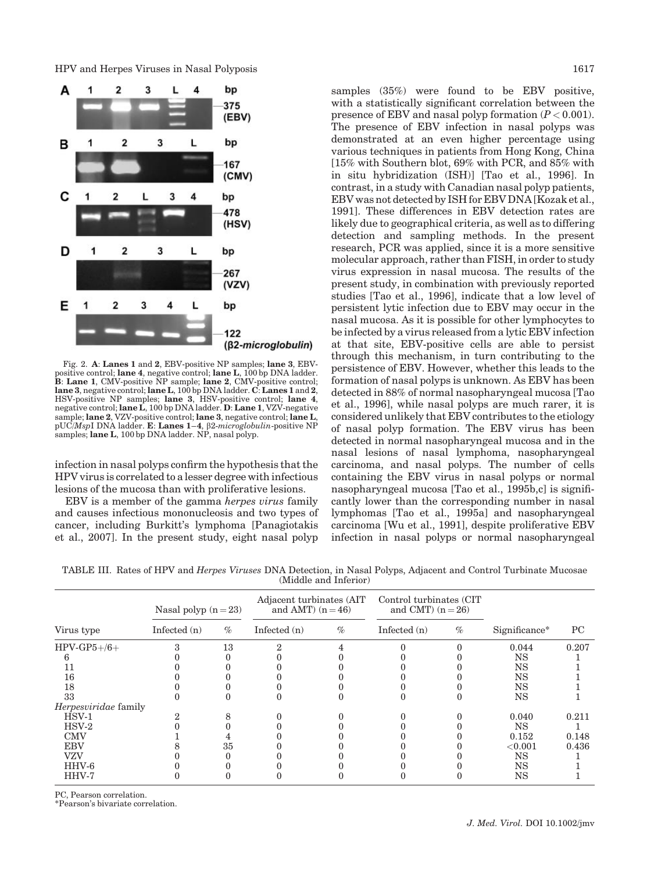HPV and Herpes Viruses in Nasal Polyposis 1617



Fig. 2. A: Lanes 1 and 2, EBV-positive NP samples; lane 3, EBVpositive control; lane 4, negative control; lane L, 100 bp DNA ladder. B: Lane 1, CMV-positive NP sample; lane 2, CMV-positive control; lane 3, negative control; lane L, 100 bp DNA ladder. C: Lanes 1 and 2, HSV-positive NP samples; lane 3, HSV-positive control; lane 4, negative control; lane L, 100 bp DNA ladder. D: Lane 1, VZV-negative<br>sample; lane 2, VZV-positive control; lane 3, negative control; lane L, pUC/MspI DNA ladder. E: Lanes  $1-4$ ,  $\beta$ 2-microglobulin-positive NP samples; lane L, 100 bp DNA ladder. NP, nasal polyp.

infection in nasal polyps confirm the hypothesis that the HPV virus is correlated to a lesser degree with infectious lesions of the mucosa than with proliferative lesions.

EBV is a member of the gamma herpes virus family and causes infectious mononucleosis and two types of cancer, including Burkitt's lymphoma [Panagiotakis et al., 2007]. In the present study, eight nasal polyp samples (35%) were found to be EBV positive, with a statistically significant correlation between the presence of EBV and nasal polyp formation  $(P < 0.001)$ . The presence of EBV infection in nasal polyps was demonstrated at an even higher percentage using various techniques in patients from Hong Kong, China [15% with Southern blot, 69% with PCR, and 85% with in situ hybridization (ISH)] [Tao et al., 1996]. In contrast, in a study with Canadian nasal polyp patients, EBV was not detected by ISH for EBV DNA [Kozak et al., 1991]. These differences in EBV detection rates are likely due to geographical criteria, as well as to differing detection and sampling methods. In the present research, PCR was applied, since it is a more sensitive molecular approach, rather than FISH, in order to study virus expression in nasal mucosa. The results of the present study, in combination with previously reported studies [Tao et al., 1996], indicate that a low level of persistent lytic infection due to EBV may occur in the nasal mucosa. As it is possible for other lymphocytes to be infected by a virus released from a lytic EBV infection at that site, EBV-positive cells are able to persist through this mechanism, in turn contributing to the persistence of EBV. However, whether this leads to the formation of nasal polyps is unknown. As EBV has been detected in 88% of normal nasopharyngeal mucosa [Tao et al., 1996], while nasal polyps are much rarer, it is considered unlikely that EBV contributes to the etiology of nasal polyp formation. The EBV virus has been detected in normal nasopharyngeal mucosa and in the nasal lesions of nasal lymphoma, nasopharyngeal carcinoma, and nasal polyps. The number of cells containing the EBV virus in nasal polyps or normal nasopharyngeal mucosa [Tao et al., 1995b,c] is significantly lower than the corresponding number in nasal lymphomas [Tao et al., 1995a] and nasopharyngeal carcinoma [Wu et al., 1991], despite proliferative EBV infection in nasal polyps or normal nasopharyngeal

TABLE III. Rates of HPV and Herpes Viruses DNA Detection, in Nasal Polyps, Adjacent and Control Turbinate Mucosae (Middle and Inferior)

| Virus type           | Nasal polyp $(n=23)$ |      | Adjacent turbinates (AIT<br>and AMT) $(n = 46)$ |      | Control turbinates (CIT<br>and CMT $)$ (n = 26) |      |               |       |
|----------------------|----------------------|------|-------------------------------------------------|------|-------------------------------------------------|------|---------------|-------|
|                      | Infected (n)         | $\%$ | Infected $(n)$                                  | $\%$ | Infected $(n)$                                  | $\%$ | Significance* | PC    |
| $HPV-GP5+/6+$        |                      | 13   |                                                 |      |                                                 |      | 0.044         | 0.207 |
|                      |                      |      |                                                 |      |                                                 |      | <b>NS</b>     |       |
|                      |                      |      |                                                 |      |                                                 |      | <b>NS</b>     |       |
| 16                   |                      |      |                                                 |      |                                                 |      | <b>NS</b>     |       |
| 18                   |                      |      |                                                 |      |                                                 |      | <b>NS</b>     |       |
| 33                   |                      |      |                                                 |      |                                                 |      | <b>NS</b>     |       |
| Herpesviridae family |                      |      |                                                 |      |                                                 |      |               |       |
| $\overline{H}$ SV-1  |                      |      |                                                 |      |                                                 |      | 0.040         | 0.211 |
| $HSV-2$              |                      |      |                                                 |      |                                                 |      | <b>NS</b>     |       |
| <b>CMV</b>           |                      |      |                                                 |      |                                                 |      | 0.152         | 0.148 |
| <b>EBV</b>           |                      | 35   |                                                 |      |                                                 |      | ${<}0.001$    | 0.436 |
| <b>VZV</b>           |                      |      |                                                 |      |                                                 |      | <b>NS</b>     |       |
| HHV-6                |                      |      |                                                 |      |                                                 |      | <b>NS</b>     |       |
| HHV-7                |                      |      |                                                 |      |                                                 |      | NS            |       |

PC, Pearson correlation.

\*Pearson's bivariate correlation.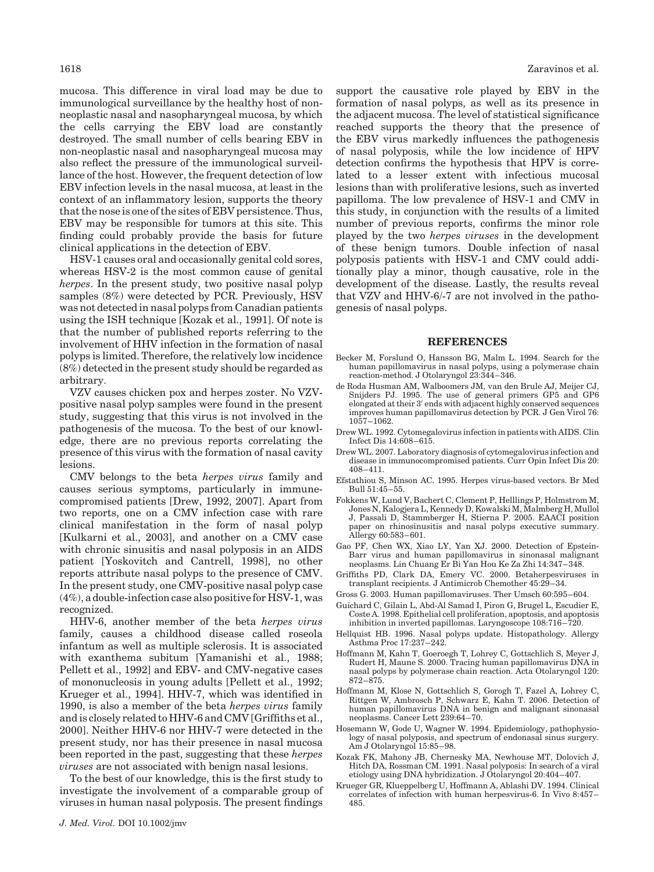mucosa. This difference in viral load may be due to immunological surveillance by the healthy host of nonneoplastic nasal and nasopharyngeal mucosa, by which the cells carrying the EBV load are constantly destroyed. The small number of cells bearing EBV in non-neoplastic nasal and nasopharyngeal mucosa may also reflect the pressure of the immunological surveillance of the host. However, the frequent detection of low EBV infection levels in the nasal mucosa, at least in the context of an inflammatory lesion, supports the theory that the nose is one of the sites of EBV persistence. Thus, EBV may be responsible for tumors at this site. This finding could probably provide the basis for future clinical applications in the detection of EBV.

HSV-1 causes oral and occasionally genital cold sores, whereas HSV-2 is the most common cause of genital herpes. In the present study, two positive nasal polyp samples (8%) were detected by PCR. Previously, HSV was not detected in nasal polyps from Canadian patients using the ISH technique [Kozak et al., 1991]. Of note is that the number of published reports referring to the involvement of HHV infection in the formation of nasal polyps is limited. Therefore, the relatively low incidence (8%) detected in the present study should be regarded as arbitrary.

VZV causes chicken pox and herpes zoster. No VZVpositive nasal polyp samples were found in the present study, suggesting that this virus is not involved in the pathogenesis of the mucosa. To the best of our knowledge, there are no previous reports correlating the presence of this virus with the formation of nasal cavity lesions.

CMV belongs to the beta herpes virus family and causes serious symptoms, particularly in immunecompromised patients [Drew, 1992, 2007]. Apart from two reports, one on a CMV infection case with rare clinical manifestation in the form of nasal polyp [Kulkarni et al., 2003], and another on a CMV case with chronic sinusitis and nasal polyposis in an AIDS patient [Yoskovitch and Cantrell, 1998], no other reports attribute nasal polyps to the presence of CMV. In the present study, one CMV-positive nasal polyp case (4%), a double-infection case also positive for HSV-1, was recognized.

HHV-6, another member of the beta herpes virus family, causes a childhood disease called roseola infantum as well as multiple sclerosis. It is associated with exanthema subitum [Yamanishi et al., 1988; Pellett et al., 1992] and EBV- and CMV-negative cases of mononucleosis in young adults [Pellett et al., 1992; Krueger et al., 1994]. HHV-7, which was identified in 1990, is also a member of the beta herpes virus family and is closely related to HHV-6 and CMV [Griffiths et al., 2000]. Neither HHV-6 nor HHV-7 were detected in the present study, nor has their presence in nasal mucosa been reported in the past, suggesting that these herpes viruses are not associated with benign nasal lesions.

To the best of our knowledge, this is the first study to investigate the involvement of a comparable group of viruses in human nasal polyposis. The present findings

support the causative role played by EBV in the formation of nasal polyps, as well as its presence in the adjacent mucosa. The level of statistical significance reached supports the theory that the presence of the EBV virus markedly influences the pathogenesis of nasal polyposis, while the low incidence of HPV detection confirms the hypothesis that HPV is correlated to a lesser extent with infectious mucosal lesions than with proliferative lesions, such as inverted papilloma. The low prevalence of HSV-1 and CMV in this study, in conjunction with the results of a limited number of previous reports, confirms the minor role played by the two herpes viruses in the development of these benign tumors. Double infection of nasal polyposis patients with HSV-1 and CMV could additionally play a minor, though causative, role in the development of the disease. Lastly, the results reveal that VZV and HHV-6/-7 are not involved in the pathogenesis of nasal polyps.

#### REFERENCES

- Becker M, Forslund O, Hansson BG, Malm L. 1994. Search for the human papillomavirus in nasal polyps, using a polymerase chain reaction-method. J Otolaryngol 23:344–346.
- de Roda Husman AM, Walboomers JM, van den Brule AJ, Meijer CJ, Snijders PJ. 1995. The use of general primers GP5 and GP6<br>elongated at their 3' ends with adjacent highly conserved sequences improves human papillomavirus detection by PCR. J Gen Virol 76: 1057–1062.
- Drew WL. 1992. Cytomegalovirus infection in patients with AIDS. Clin Infect Dis 14:608–615.
- Drew WL. 2007. Laboratory diagnosis of cytomegalovirus infection and disease in immunocompromised patients. Curr Opin Infect Dis 20: 408–411.
- Efstathiou S, Minson AC. 1995. Herpes virus-based vectors. Br Med Bull 51:45–55.
- Fokkens W, Lund V, Bachert C, Clement P, Helllings P, Holmstrom M, Jones N, Kalogjera L, Kennedy D, Kowalski M, Malmberg H, Mullol J, Passali D, Stammberger H, Stierna P. 2005. EAACI position paper on rhinosinusitis and nasal polyps executive summary. Allergy 60:583–601.
- Gao PF, Chen WX, Xiao LY, Yan XJ. 2000. Detection of Epstein-Barr virus and human papillomavirus in sinonasal malignant neoplasms. Lin Chuang Er Bi Yan Hou Ke Za Zhi 14:347–348.
- Griffiths PD, Clark DA, Emery VC. 2000. Betaherpesviruses in transplant recipients. J Antimicrob Chemother 45:29–34.
- Gross G. 2003. Human papillomaviruses. Ther Umsch 60:595–604.
- Guichard C, Gilain L, Abd-Al Samad I, Piron G, Brugel L, Escudier E, Coste A. 1998. Epithelial cell proliferation, apoptosis, and apoptosis inhibition in inverted papillomas. Laryngoscope 108:716–720.
- Hellquist HB. 1996. Nasal polyps update. Histopathology. Allergy Asthma Proc 17:237–242.
- Hoffmann M, Kahn T, Goeroegh T, Lohrey C, Gottschlich S, Meyer J, Rudert H, Maune S. 2000. Tracing human papillomavirus DNA in nasal polyps by polymerase chain reaction. Acta Otolaryngol 120: 872–875.
- Hoffmann M, Klose N, Gottschlich S, Gorogh T, Fazel A, Lohrey C, Rittgen W, Ambrosch P, Schwarz E, Kahn T. 2006. Detection of human papillomavirus DNA in benign and malignant sinonasal neoplasms. Cancer Lett 239:64–70.
- Hosemann W, Gode U, Wagner W. 1994. Epidemiology, pathophysiology of nasal polyposis, and spectrum of endonasal sinus surgery. Am J Otolaryngol 15:85–98.
- Kozak FK, Mahony JB, Chernesky MA, Newhouse MT, Dolovich J, Hitch DA, Rossman CM. 1991. Nasal polyposis: In search of a viral etiology using DNA hybridization. J Otolaryngol 20:404–407.
- Krueger GR, Klueppelberg U, Hoffmann A, Ablashi DV. 1994. Clinical correlates of infection with human herpesvirus-6. In Vivo 8:457– 485.